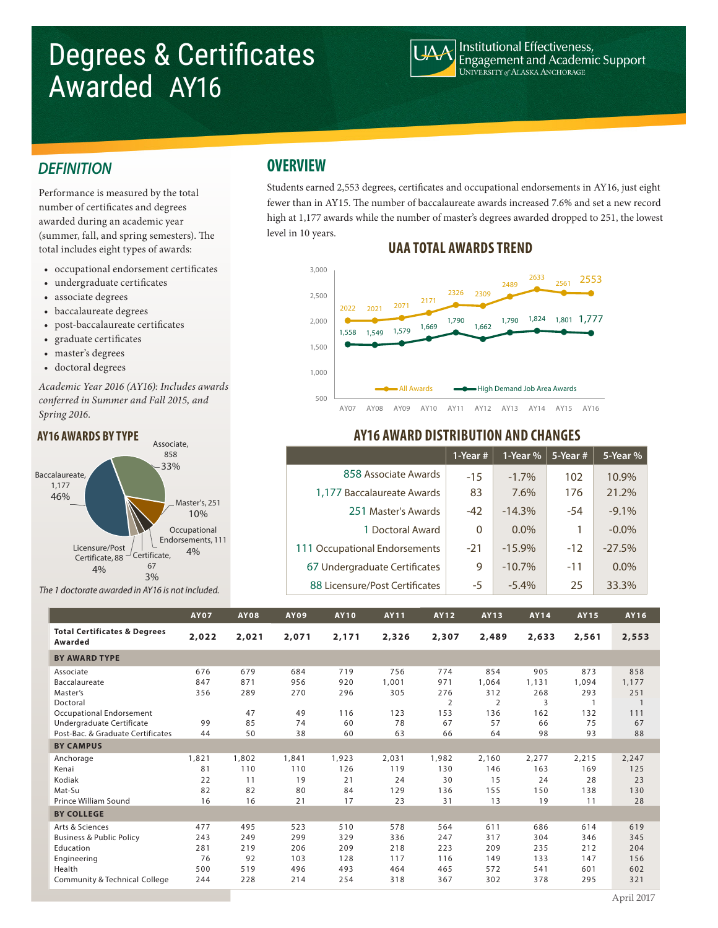# Degrees & Certificates Awarded AY16



Institutional Effectiveness,<br>Engagement and Academic Support UNIVERSITY of ALASKA ANCHORAGE

### *DEFINITION*

Performance is measured by the total number of certificates and degrees awarded during an academic year (summer, fall, and spring semesters). The total includes eight types of awards:

- occupational endorsement certificates
- undergraduate certificates
- associate degrees
- baccalaureate degrees
- post-baccalaureate certificates
- graduate certificates
- master's degrees
- doctoral degrees

*Academic Year 2016 (AY16): Includes awards*  conferred in Summer and Fall 2015, and *Spring 2016.*

#### Baccalaureate, 1,177 46% Associate, 858 33% Master's, 251 10% **Occupational** Endorsements, 111  $C$ ertificate 4% 67 3% Licensure/Post Certificate, 88 4%

*The 1 doctorate awarded in AY16 is not included.*

### **OVERVIEW**

Students earned 2,553 degrees, certificates and occupational endorsements in AY16, just eight fewer than in AY15. The number of baccalaureate awards increased 7.6% and set a new record high at 1,177 awards while the number of master's degrees awarded dropped to 251, the lowest level in 10 years.

### **UAA TOTAL AWARDS TREND**



### **AY16 AWARD DISTRIBUTION AND CHANGES**

|                                | 1-Year $#$ | 1-Year % | $5$ -Year # | 5-Year % |
|--------------------------------|------------|----------|-------------|----------|
| 858 Associate Awards           | $-15$      | $-1.7\%$ | 102         | 10.9%    |
| 1,177 Baccalaureate Awards     | 83         | 7.6%     | 176         | 21.2%    |
| 251 Master's Awards            | $-42$      | $-14.3%$ | $-54$       | $-9.1\%$ |
| 1 Doctoral Award               | 0          | $0.0\%$  | 1           | $-0.0\%$ |
| 111 Occupational Endorsements  | $-21$      | $-15.9%$ | $-12$       | $-27.5%$ |
| 67 Undergraduate Certificates  | 9          | $-10.7%$ | $-11$       | $0.0\%$  |
| 88 Licensure/Post Certificates | -5         | $-5.4%$  | 25          | 33.3%    |

|                                                    | <b>AY07</b> | <b>AY08</b> | <b>AY09</b> | <b>AY10</b> | <b>AY11</b> | <b>AY12</b>    | <b>AY13</b>    | AY14  | AY15  | AY16  |
|----------------------------------------------------|-------------|-------------|-------------|-------------|-------------|----------------|----------------|-------|-------|-------|
| <b>Total Certificates &amp; Degrees</b><br>Awarded | 2,022       | 2,021       | 2,071       | 2,171       | 2,326       | 2,307          | 2,489          | 2,633 | 2,561 | 2,553 |
| <b>BY AWARD TYPE</b>                               |             |             |             |             |             |                |                |       |       |       |
| Associate                                          | 676         | 679         | 684         | 719         | 756         | 774            | 854            | 905   | 873   | 858   |
| Baccalaureate                                      | 847         | 871         | 956         | 920         | 1,001       | 971            | 1,064          | 1,131 | 1,094 | 1,177 |
| Master's                                           | 356         | 289         | 270         | 296         | 305         | 276            | 312            | 268   | 293   | 251   |
| Doctoral                                           |             |             |             |             |             | $\overline{2}$ | $\overline{2}$ | 3     |       |       |
| Occupational Endorsement                           |             | 47          | 49          | 116         | 123         | 153            | 136            | 162   | 132   | 111   |
| Undergraduate Certificate                          | 99          | 85          | 74          | 60          | 78          | 67             | 57             | 66    | 75    | 67    |
| Post-Bac. & Graduate Certificates                  | 44          | 50          | 38          | 60          | 63          | 66             | 64             | 98    | 93    | 88    |
| <b>BY CAMPUS</b>                                   |             |             |             |             |             |                |                |       |       |       |
| Anchorage                                          | 1,821       | 1,802       | 1,841       | 1,923       | 2,031       | 1,982          | 2,160          | 2,277 | 2,215 | 2,247 |
| Kenai                                              | 81          | 110         | 110         | 126         | 119         | 130            | 146            | 163   | 169   | 125   |
| Kodiak                                             | 22          | 11          | 19          | 21          | 24          | 30             | 15             | 24    | 28    | 23    |
| Mat-Su                                             | 82          | 82          | 80          | 84          | 129         | 136            | 155            | 150   | 138   | 130   |
| Prince William Sound                               | 16          | 16          | 21          | 17          | 23          | 31             | 13             | 19    | 11    | 28    |
| <b>BY COLLEGE</b>                                  |             |             |             |             |             |                |                |       |       |       |
| Arts & Sciences                                    | 477         | 495         | 523         | 510         | 578         | 564            | 611            | 686   | 614   | 619   |
| <b>Business &amp; Public Policy</b>                | 243         | 249         | 299         | 329         | 336         | 247            | 317            | 304   | 346   | 345   |
| Education                                          | 281         | 219         | 206         | 209         | 218         | 223            | 209            | 235   | 212   | 204   |
| Engineering                                        | 76          | 92          | 103         | 128         | 117         | 116            | 149            | 133   | 147   | 156   |
| Health                                             | 500         | 519         | 496         | 493         | 464         | 465            | 572            | 541   | 601   | 602   |
| <b>Community &amp; Technical College</b>           | 244         | 228         | 214         | 254         | 318         | 367            | 302            | 378   | 295   | 321   |

## **AY16 AWARDS BY TYPE**